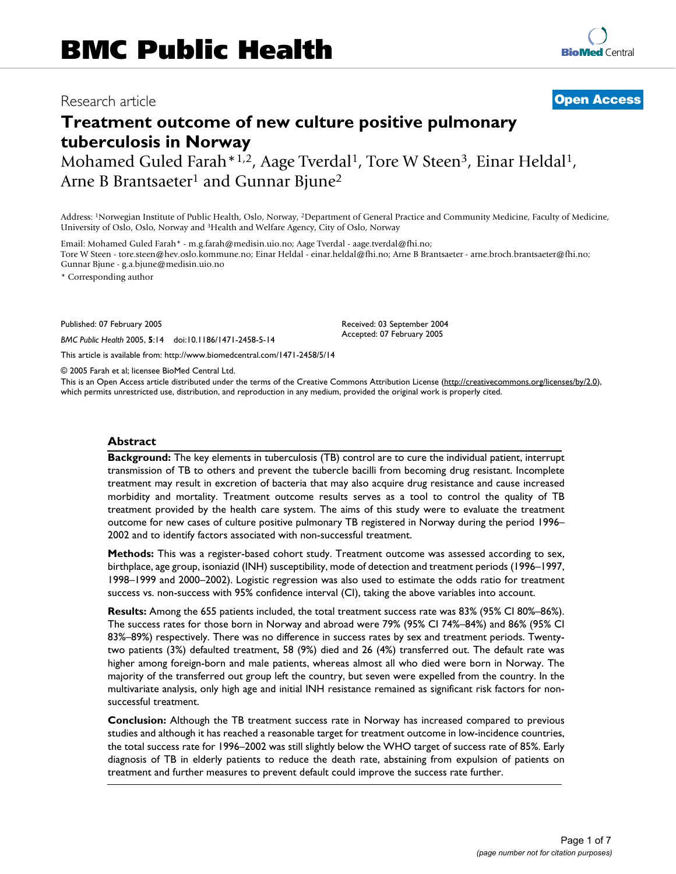# Research article **[Open Access](http://www.biomedcentral.com/info/about/charter/)**

# **Treatment outcome of new culture positive pulmonary tuberculosis in Norway**

Mohamed Guled Farah\*1,2, Aage Tverdal<sup>1</sup>, Tore W Steen<sup>3</sup>, Einar Heldal<sup>1</sup>, Arne B Brantsaeter<sup>1</sup> and Gunnar Bjune<sup>2</sup>

Address: 1Norwegian Institute of Public Health, Oslo, Norway, 2Department of General Practice and Community Medicine, Faculty of Medicine, University of Oslo, Oslo, Norway and 3Health and Welfare Agency, City of Oslo, Norway

Email: Mohamed Guled Farah\* - m.g.farah@medisin.uio.no; Aage Tverdal - aage.tverdal@fhi.no; Tore W Steen - tore.steen@hev.oslo.kommune.no; Einar Heldal - einar.heldal@fhi.no; Arne B Brantsaeter - arne.broch.brantsaeter@fhi.no; Gunnar Bjune - g.a.bjune@medisin.uio.no

\* Corresponding author

Published: 07 February 2005

*BMC Public Health* 2005, **5**:14 doi:10.1186/1471-2458-5-14

[This article is available from: http://www.biomedcentral.com/1471-2458/5/14](http://www.biomedcentral.com/1471-2458/5/14)

© 2005 Farah et al; licensee BioMed Central Ltd.

This is an Open Access article distributed under the terms of the Creative Commons Attribution License [\(http://creativecommons.org/licenses/by/2.0\)](http://creativecommons.org/licenses/by/2.0), which permits unrestricted use, distribution, and reproduction in any medium, provided the original work is properly cited.

Received: 03 September 2004 Accepted: 07 February 2005

#### **Abstract**

**Background:** The key elements in tuberculosis (TB) control are to cure the individual patient, interrupt transmission of TB to others and prevent the tubercle bacilli from becoming drug resistant. Incomplete treatment may result in excretion of bacteria that may also acquire drug resistance and cause increased morbidity and mortality. Treatment outcome results serves as a tool to control the quality of TB treatment provided by the health care system. The aims of this study were to evaluate the treatment outcome for new cases of culture positive pulmonary TB registered in Norway during the period 1996– 2002 and to identify factors associated with non-successful treatment.

**Methods:** This was a register-based cohort study. Treatment outcome was assessed according to sex, birthplace, age group, isoniazid (INH) susceptibility, mode of detection and treatment periods (1996–1997, 1998–1999 and 2000–2002). Logistic regression was also used to estimate the odds ratio for treatment success vs. non-success with 95% confidence interval (CI), taking the above variables into account.

**Results:** Among the 655 patients included, the total treatment success rate was 83% (95% CI 80%–86%). The success rates for those born in Norway and abroad were 79% (95% CI 74%–84%) and 86% (95% CI 83%–89%) respectively. There was no difference in success rates by sex and treatment periods. Twentytwo patients (3%) defaulted treatment, 58 (9%) died and 26 (4%) transferred out. The default rate was higher among foreign-born and male patients, whereas almost all who died were born in Norway. The majority of the transferred out group left the country, but seven were expelled from the country. In the multivariate analysis, only high age and initial INH resistance remained as significant risk factors for nonsuccessful treatment.

**Conclusion:** Although the TB treatment success rate in Norway has increased compared to previous studies and although it has reached a reasonable target for treatment outcome in low-incidence countries, the total success rate for 1996–2002 was still slightly below the WHO target of success rate of 85%. Early diagnosis of TB in elderly patients to reduce the death rate, abstaining from expulsion of patients on treatment and further measures to prevent default could improve the success rate further.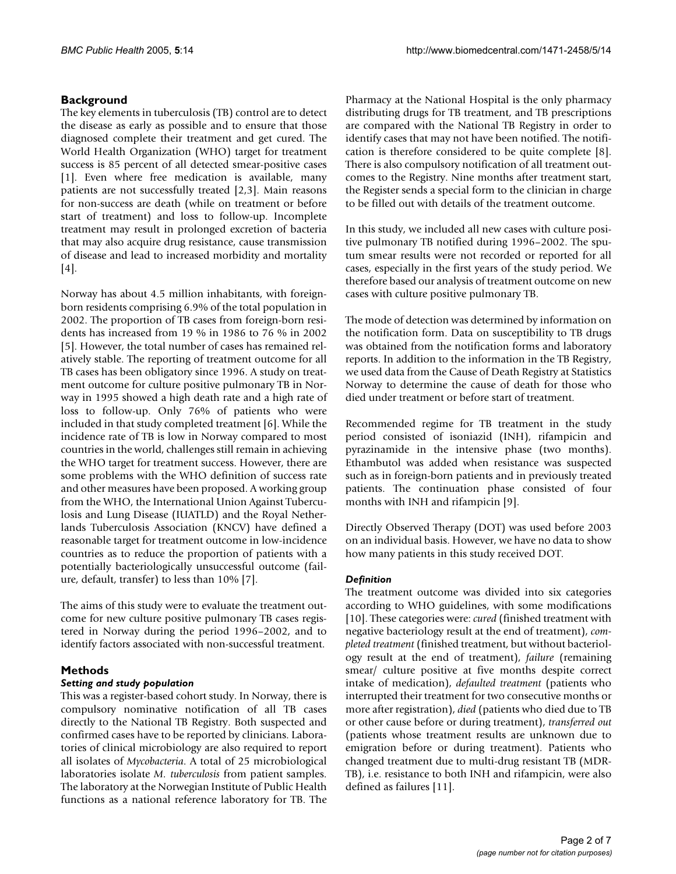# **Background**

The key elements in tuberculosis (TB) control are to detect the disease as early as possible and to ensure that those diagnosed complete their treatment and get cured. The World Health Organization (WHO) target for treatment success is 85 percent of all detected smear-positive cases [1]. Even where free medication is available, many patients are not successfully treated [2,3]. Main reasons for non-success are death (while on treatment or before start of treatment) and loss to follow-up. Incomplete treatment may result in prolonged excretion of bacteria that may also acquire drug resistance, cause transmission of disease and lead to increased morbidity and mortality [4].

Norway has about 4.5 million inhabitants, with foreignborn residents comprising 6.9% of the total population in 2002. The proportion of TB cases from foreign-born residents has increased from 19 % in 1986 to 76 % in 2002 [5]. However, the total number of cases has remained relatively stable. The reporting of treatment outcome for all TB cases has been obligatory since 1996. A study on treatment outcome for culture positive pulmonary TB in Norway in 1995 showed a high death rate and a high rate of loss to follow-up. Only 76% of patients who were included in that study completed treatment [6]. While the incidence rate of TB is low in Norway compared to most countries in the world, challenges still remain in achieving the WHO target for treatment success. However, there are some problems with the WHO definition of success rate and other measures have been proposed. A working group from the WHO, the International Union Against Tuberculosis and Lung Disease (IUATLD) and the Royal Netherlands Tuberculosis Association (KNCV) have defined a reasonable target for treatment outcome in low-incidence countries as to reduce the proportion of patients with a potentially bacteriologically unsuccessful outcome (failure, default, transfer) to less than 10% [7].

The aims of this study were to evaluate the treatment outcome for new culture positive pulmonary TB cases registered in Norway during the period 1996–2002, and to identify factors associated with non-successful treatment.

# **Methods**

## *Setting and study population*

This was a register-based cohort study. In Norway, there is compulsory nominative notification of all TB cases directly to the National TB Registry. Both suspected and confirmed cases have to be reported by clinicians. Laboratories of clinical microbiology are also required to report all isolates of *Mycobacteria*. A total of 25 microbiological laboratories isolate *M. tuberculosis* from patient samples. The laboratory at the Norwegian Institute of Public Health functions as a national reference laboratory for TB. The Pharmacy at the National Hospital is the only pharmacy distributing drugs for TB treatment, and TB prescriptions are compared with the National TB Registry in order to identify cases that may not have been notified. The notification is therefore considered to be quite complete [8]. There is also compulsory notification of all treatment outcomes to the Registry. Nine months after treatment start, the Register sends a special form to the clinician in charge to be filled out with details of the treatment outcome.

In this study, we included all new cases with culture positive pulmonary TB notified during 1996–2002. The sputum smear results were not recorded or reported for all cases, especially in the first years of the study period. We therefore based our analysis of treatment outcome on new cases with culture positive pulmonary TB.

The mode of detection was determined by information on the notification form. Data on susceptibility to TB drugs was obtained from the notification forms and laboratory reports. In addition to the information in the TB Registry, we used data from the Cause of Death Registry at Statistics Norway to determine the cause of death for those who died under treatment or before start of treatment.

Recommended regime for TB treatment in the study period consisted of isoniazid (INH), rifampicin and pyrazinamide in the intensive phase (two months). Ethambutol was added when resistance was suspected such as in foreign-born patients and in previously treated patients. The continuation phase consisted of four months with INH and rifampicin [9].

Directly Observed Therapy (DOT) was used before 2003 on an individual basis. However, we have no data to show how many patients in this study received DOT.

# *Definition*

The treatment outcome was divided into six categories according to WHO guidelines, with some modifications [10]. These categories were: *cured* (finished treatment with negative bacteriology result at the end of treatment), *completed treatment* (finished treatment, but without bacteriology result at the end of treatment), *failure* (remaining smear/ culture positive at five months despite correct intake of medication), *defaulted treatment* (patients who interrupted their treatment for two consecutive months or more after registration), *died* (patients who died due to TB or other cause before or during treatment), *transferred out* (patients whose treatment results are unknown due to emigration before or during treatment). Patients who changed treatment due to multi-drug resistant TB (MDR-TB), i.e. resistance to both INH and rifampicin, were also defined as failures [11].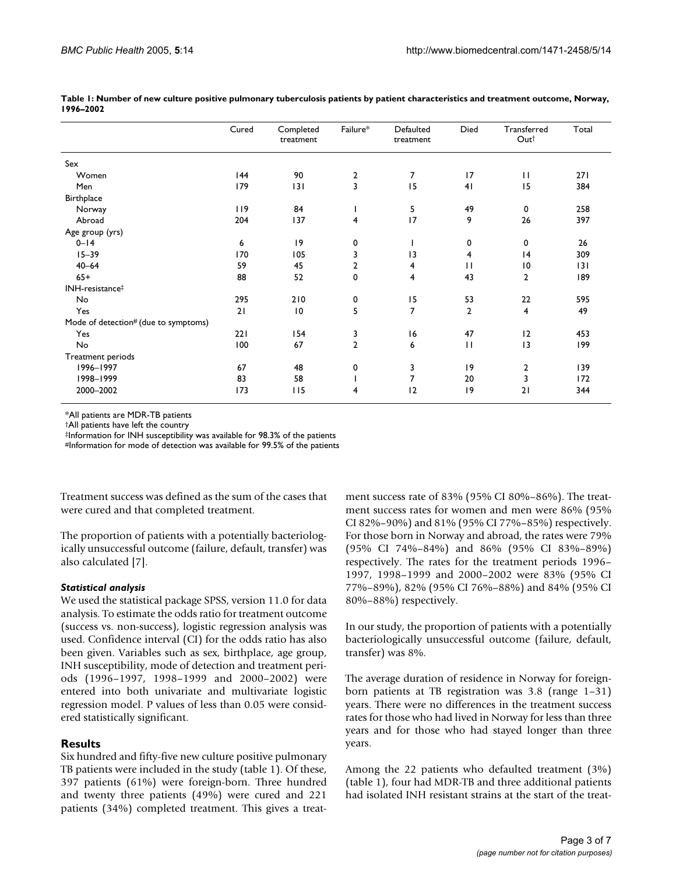|                                      | Cured | Completed<br>treatment | Failure*       | Defaulted<br>treatment | Died           | Transferred<br>Outt | Total |
|--------------------------------------|-------|------------------------|----------------|------------------------|----------------|---------------------|-------|
| Sex                                  |       |                        |                |                        |                |                     |       |
| Women                                | 44    | 90                     | 2              | 7                      | 17             | $\mathbf{H}$        | 271   |
| Men                                  | 179   | 131                    | 3              | 15                     | 41             | 15                  | 384   |
| Birthplace                           |       |                        |                |                        |                |                     |       |
| Norway                               | 119   | 84                     |                | 5                      | 49             | 0                   | 258   |
| Abroad                               | 204   | 137                    | 4              | 17                     | 9              | 26                  | 397   |
| Age group (yrs)                      |       |                        |                |                        |                |                     |       |
| $0 - 14$                             | 6     | 9                      | 0              | L                      | $\mathbf 0$    | 0                   | 26    |
| $15 - 39$                            | 170   | 105                    | 3              | $\overline{13}$        | 4              | 4                   | 309   |
| $40 - 64$                            | 59    | 45                     | 2              | 4                      | $\mathbf{H}$   | 10                  | 3     |
| $65+$                                | 88    | 52                     | 0              | 4                      | 43             | $\overline{2}$      | 189   |
| INH-resistance <sup>#</sup>          |       |                        |                |                        |                |                     |       |
| No                                   | 295   | 210                    | 0              | 15                     | 53             | 22                  | 595   |
| Yes                                  | 21    | 10                     | 5              | $\overline{7}$         | $\overline{2}$ | 4                   | 49    |
| Mode of detection# (due to symptoms) |       |                        |                |                        |                |                     |       |
| Yes                                  | 221   | 154                    | 3              | 16                     | 47             | 12                  | 453   |
| No                                   | 100   | 67                     | $\overline{2}$ | 6                      | $\mathbf{H}$   | 13                  | 199   |
| Treatment periods                    |       |                        |                |                        |                |                     |       |
| 1996-1997                            | 67    | 48                     | 0              | 3                      | 19             | 2                   | 139   |
| 1998-1999                            | 83    | 58                     |                | 7                      | 20             | 3                   | 172   |
| 2000-2002                            | 173   | 115                    | 4              | 12                     | 19             | 21                  | 344   |

**Table 1: Number of new culture positive pulmonary tuberculosis patients by patient characteristics and treatment outcome, Norway, 1996–2002**

\*All patients are MDR-TB patients

†All patients have left the country

‡Information for INH susceptibility was available for 98.3% of the patients

#Information for mode of detection was available for 99.5% of the patients

Treatment success was defined as the sum of the cases that were cured and that completed treatment.

The proportion of patients with a potentially bacteriologically unsuccessful outcome (failure, default, transfer) was also calculated [7].

#### *Statistical analysis*

We used the statistical package SPSS, version 11.0 for data analysis. To estimate the odds ratio for treatment outcome (success vs. non-success), logistic regression analysis was used. Confidence interval (CI) for the odds ratio has also been given. Variables such as sex, birthplace, age group, INH susceptibility, mode of detection and treatment periods (1996–1997, 1998–1999 and 2000–2002) were entered into both univariate and multivariate logistic regression model. P values of less than 0.05 were considered statistically significant.

#### **Results**

Six hundred and fifty-five new culture positive pulmonary TB patients were included in the study (table 1). Of these, 397 patients (61%) were foreign-born. Three hundred and twenty three patients (49%) were cured and 221 patients (34%) completed treatment. This gives a treatment success rate of 83% (95% CI 80%–86%). The treatment success rates for women and men were 86% (95% CI 82%–90%) and 81% (95% CI 77%–85%) respectively. For those born in Norway and abroad, the rates were 79% (95% CI 74%–84%) and 86% (95% CI 83%–89%) respectively. The rates for the treatment periods 1996– 1997, 1998–1999 and 2000–2002 were 83% (95% CI 77%–89%), 82% (95% CI 76%–88%) and 84% (95% CI 80%–88%) respectively.

In our study, the proportion of patients with a potentially bacteriologically unsuccessful outcome (failure, default, transfer) was 8%.

The average duration of residence in Norway for foreignborn patients at TB registration was 3.8 (range 1–31) years. There were no differences in the treatment success rates for those who had lived in Norway for less than three years and for those who had stayed longer than three years.

Among the 22 patients who defaulted treatment (3%) (table 1), four had MDR-TB and three additional patients had isolated INH resistant strains at the start of the treat-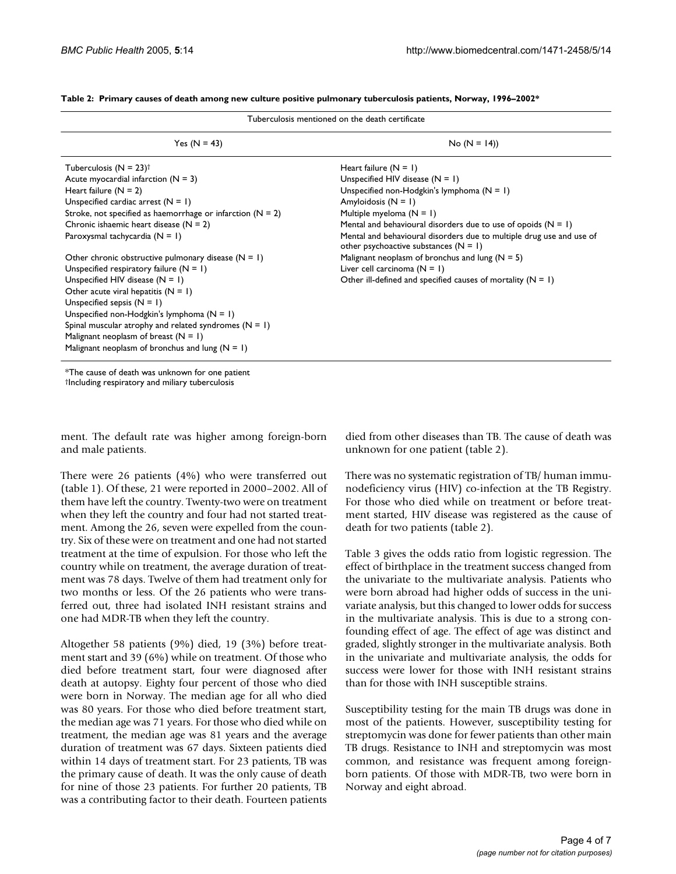| Tuberculosis mentioned on the death certificate              |                                                                                                                 |  |  |  |  |  |
|--------------------------------------------------------------|-----------------------------------------------------------------------------------------------------------------|--|--|--|--|--|
| Yes $(N = 43)$                                               | $No (N = 14)$                                                                                                   |  |  |  |  |  |
| Tuberculosis $(N = 23)$ <sup>†</sup>                         | Heart failure $(N = 1)$                                                                                         |  |  |  |  |  |
| Acute myocardial infarction $(N = 3)$                        | Unspecified HIV disease $(N = 1)$                                                                               |  |  |  |  |  |
| Heart failure $(N = 2)$                                      | Unspecified non-Hodgkin's lymphoma $(N = 1)$                                                                    |  |  |  |  |  |
| Unspecified cardiac arrest $(N = 1)$                         | Amyloidosis $(N = 1)$                                                                                           |  |  |  |  |  |
| Stroke, not specified as haemorrhage or infarction $(N = 2)$ | Multiple myeloma $(N = 1)$                                                                                      |  |  |  |  |  |
| Chronic ishaemic heart disease $(N = 2)$                     | Mental and behavioural disorders due to use of opoids $(N = 1)$                                                 |  |  |  |  |  |
| Paroxysmal tachycardia $(N = 1)$                             | Mental and behavioural disorders due to multiple drug use and use of<br>other psychoactive substances $(N = 1)$ |  |  |  |  |  |
| Other chronic obstructive pulmonary disease $(N = 1)$        | Malignant neoplasm of bronchus and lung ( $N = 5$ )                                                             |  |  |  |  |  |
| Unspecified respiratory failure $(N = 1)$                    | Liver cell carcinoma $(N = I)$                                                                                  |  |  |  |  |  |
| Unspecified HIV disease $(N = 1)$                            | Other ill-defined and specified causes of mortality $(N = 1)$                                                   |  |  |  |  |  |
| Other acute viral hepatitis $(N = I)$                        |                                                                                                                 |  |  |  |  |  |
| Unspecified sepsis $(N = 1)$                                 |                                                                                                                 |  |  |  |  |  |
| Unspecified non-Hodgkin's lymphoma $(N = 1)$                 |                                                                                                                 |  |  |  |  |  |
| Spinal muscular atrophy and related syndromes $(N = 1)$      |                                                                                                                 |  |  |  |  |  |
| Malignant neoplasm of breast $(N = 1)$                       |                                                                                                                 |  |  |  |  |  |
| Malignant neoplasm of bronchus and lung $(N = 1)$            |                                                                                                                 |  |  |  |  |  |

<span id="page-3-0"></span>**Table 2: Primary causes of death among new culture positive pulmonary tuberculosis patients, Norway, 1996–2002\***

\*The cause of death was unknown for one patient †Including respiratory and miliary tuberculosis

ment. The default rate was higher among foreign-born and male patients.

There were 26 patients (4%) who were transferred out (table 1). Of these, 21 were reported in 2000–2002. All of them have left the country. Twenty-two were on treatment when they left the country and four had not started treatment. Among the 26, seven were expelled from the country. Six of these were on treatment and one had not started treatment at the time of expulsion. For those who left the country while on treatment, the average duration of treatment was 78 days. Twelve of them had treatment only for two months or less. Of the 26 patients who were transferred out, three had isolated INH resistant strains and one had MDR-TB when they left the country.

Altogether 58 patients (9%) died, 19 (3%) before treatment start and 39 (6%) while on treatment. Of those who died before treatment start, four were diagnosed after death at autopsy. Eighty four percent of those who died were born in Norway. The median age for all who died was 80 years. For those who died before treatment start, the median age was 71 years. For those who died while on treatment, the median age was 81 years and the average duration of treatment was 67 days. Sixteen patients died within 14 days of treatment start. For 23 patients, TB was the primary cause of death. It was the only cause of death for nine of those 23 patients. For further 20 patients, TB was a contributing factor to their death. Fourteen patients

died from other diseases than TB. The cause of death was unknown for one patient (table [2](#page-3-0)).

There was no systematic registration of TB/ human immunodeficiency virus (HIV) co-infection at the TB Registry. For those who died while on treatment or before treatment started, HIV disease was registered as the cause of death for two patients (table [2\)](#page-3-0).

Table [3](#page-4-0) gives the odds ratio from logistic regression. The effect of birthplace in the treatment success changed from the univariate to the multivariate analysis. Patients who were born abroad had higher odds of success in the univariate analysis, but this changed to lower odds for success in the multivariate analysis. This is due to a strong confounding effect of age. The effect of age was distinct and graded, slightly stronger in the multivariate analysis. Both in the univariate and multivariate analysis, the odds for success were lower for those with INH resistant strains than for those with INH susceptible strains.

Susceptibility testing for the main TB drugs was done in most of the patients. However, susceptibility testing for streptomycin was done for fewer patients than other main TB drugs. Resistance to INH and streptomycin was most common, and resistance was frequent among foreignborn patients. Of those with MDR-TB, two were born in Norway and eight abroad.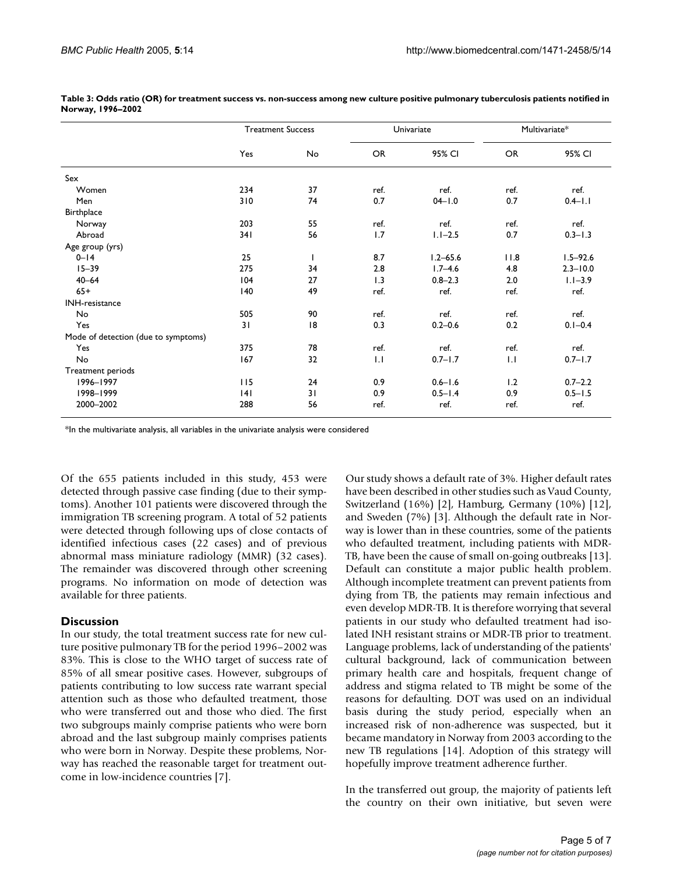|                                     | <b>Treatment Success</b> |    | Univariate |              | Multivariate* |              |
|-------------------------------------|--------------------------|----|------------|--------------|---------------|--------------|
|                                     | Yes                      | No | <b>OR</b>  | 95% CI       | <b>OR</b>     | 95% CI       |
| Sex                                 |                          |    |            |              |               |              |
| Women                               | 234                      | 37 | ref.       | ref.         | ref.          | ref.         |
| Men                                 | 310                      | 74 | 0.7        | $04 - 1.0$   | 0.7           | $0.4 - 1.1$  |
| Birthplace                          |                          |    |            |              |               |              |
| Norway                              | 203                      | 55 | ref.       | ref.         | ref.          | ref.         |
| Abroad                              | 341                      | 56 | 1.7        | $1.1 - 2.5$  | 0.7           | $0.3 - 1.3$  |
| Age group (yrs)                     |                          |    |            |              |               |              |
| $0 - 14$                            | 25                       |    | 8.7        | $1.2 - 65.6$ | 11.8          | $1.5 - 92.6$ |
| $15 - 39$                           | 275                      | 34 | 2.8        | $1.7 - 4.6$  | 4.8           | $2.3 - 10.0$ |
| $40 - 64$                           | 104                      | 27 | 1.3        | $0.8 - 2.3$  | 2.0           | $1.1 - 3.9$  |
| $65+$                               | 140                      | 49 | ref.       | ref.         | ref.          | ref.         |
| <b>INH-resistance</b>               |                          |    |            |              |               |              |
| No                                  | 505                      | 90 | ref.       | ref.         | ref.          | ref.         |
| Yes                                 | 31                       | 8  | 0.3        | $0.2 - 0.6$  | 0.2           | $0.1 - 0.4$  |
| Mode of detection (due to symptoms) |                          |    |            |              |               |              |
| Yes                                 | 375                      | 78 | ref.       | ref.         | ref.          | ref.         |
| No                                  | 167                      | 32 | 1.1        | $0.7 - 1.7$  | 1.1           | $0.7 - 1.7$  |
| Treatment periods                   |                          |    |            |              |               |              |
| 1996-1997                           | 115                      | 24 | 0.9        | $0.6 - 1.6$  | 1.2           | $0.7 - 2.2$  |
| 1998-1999                           | 4                        | 31 | 0.9        | $0.5 - 1.4$  | 0.9           | $0.5 - 1.5$  |
| 2000-2002                           | 288                      | 56 | ref.       | ref.         | ref.          | ref.         |

<span id="page-4-0"></span>**Table 3: Odds ratio (OR) for treatment success vs. non-success among new culture positive pulmonary tuberculosis patients notified in Norway, 1996–2002**

\*In the multivariate analysis, all variables in the univariate analysis were considered

Of the 655 patients included in this study, 453 were detected through passive case finding (due to their symptoms). Another 101 patients were discovered through the immigration TB screening program. A total of 52 patients were detected through following ups of close contacts of identified infectious cases (22 cases) and of previous abnormal mass miniature radiology (MMR) (32 cases). The remainder was discovered through other screening programs. No information on mode of detection was available for three patients.

#### **Discussion**

In our study, the total treatment success rate for new culture positive pulmonary TB for the period 1996–2002 was 83%. This is close to the WHO target of success rate of 85% of all smear positive cases. However, subgroups of patients contributing to low success rate warrant special attention such as those who defaulted treatment, those who were transferred out and those who died. The first two subgroups mainly comprise patients who were born abroad and the last subgroup mainly comprises patients who were born in Norway. Despite these problems, Norway has reached the reasonable target for treatment outcome in low-incidence countries [7].

Our study shows a default rate of 3%. Higher default rates have been described in other studies such as Vaud County, Switzerland (16%) [2], Hamburg, Germany (10%) [12], and Sweden (7%) [3]. Although the default rate in Norway is lower than in these countries, some of the patients who defaulted treatment, including patients with MDR-TB, have been the cause of small on-going outbreaks [13]. Default can constitute a major public health problem. Although incomplete treatment can prevent patients from dying from TB, the patients may remain infectious and even develop MDR-TB. It is therefore worrying that several patients in our study who defaulted treatment had isolated INH resistant strains or MDR-TB prior to treatment. Language problems, lack of understanding of the patients' cultural background, lack of communication between primary health care and hospitals, frequent change of address and stigma related to TB might be some of the reasons for defaulting. DOT was used on an individual basis during the study period, especially when an increased risk of non-adherence was suspected, but it became mandatory in Norway from 2003 according to the new TB regulations [14]. Adoption of this strategy will hopefully improve treatment adherence further.

In the transferred out group, the majority of patients left the country on their own initiative, but seven were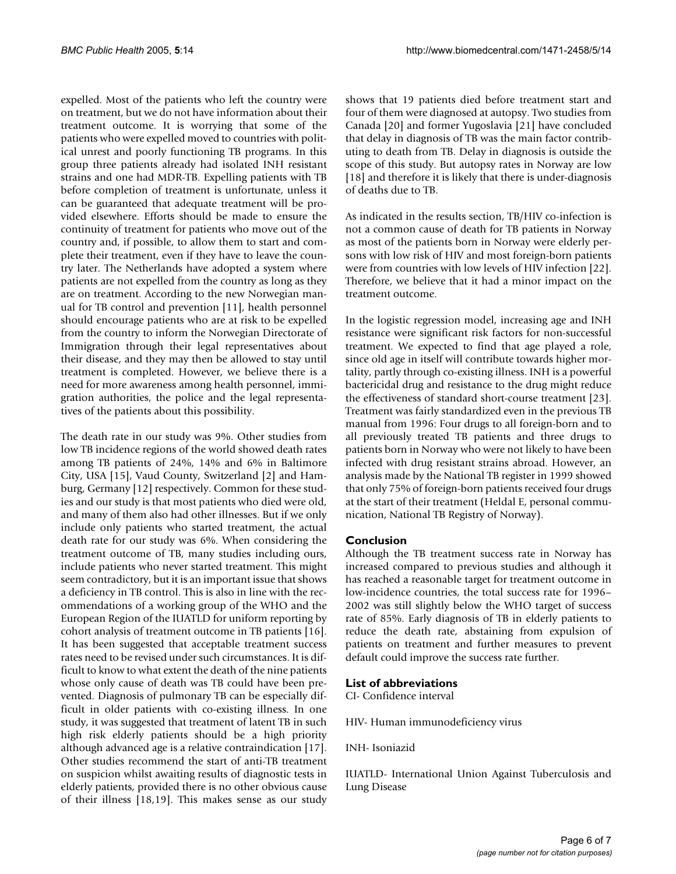expelled. Most of the patients who left the country were on treatment, but we do not have information about their treatment outcome. It is worrying that some of the patients who were expelled moved to countries with political unrest and poorly functioning TB programs. In this group three patients already had isolated INH resistant strains and one had MDR-TB. Expelling patients with TB before completion of treatment is unfortunate, unless it can be guaranteed that adequate treatment will be provided elsewhere. Efforts should be made to ensure the continuity of treatment for patients who move out of the country and, if possible, to allow them to start and complete their treatment, even if they have to leave the country later. The Netherlands have adopted a system where patients are not expelled from the country as long as they are on treatment. According to the new Norwegian manual for TB control and prevention [11], health personnel should encourage patients who are at risk to be expelled from the country to inform the Norwegian Directorate of Immigration through their legal representatives about their disease, and they may then be allowed to stay until treatment is completed. However, we believe there is a need for more awareness among health personnel, immigration authorities, the police and the legal representatives of the patients about this possibility.

The death rate in our study was 9%. Other studies from low TB incidence regions of the world showed death rates among TB patients of 24%, 14% and 6% in Baltimore City, USA [15], Vaud County, Switzerland [2] and Hamburg, Germany [12] respectively. Common for these studies and our study is that most patients who died were old, and many of them also had other illnesses. But if we only include only patients who started treatment, the actual death rate for our study was 6%. When considering the treatment outcome of TB, many studies including ours, include patients who never started treatment. This might seem contradictory, but it is an important issue that shows a deficiency in TB control. This is also in line with the recommendations of a working group of the WHO and the European Region of the IUATLD for uniform reporting by cohort analysis of treatment outcome in TB patients [16]. It has been suggested that acceptable treatment success rates need to be revised under such circumstances. It is difficult to know to what extent the death of the nine patients whose only cause of death was TB could have been prevented. Diagnosis of pulmonary TB can be especially difficult in older patients with co-existing illness. In one study, it was suggested that treatment of latent TB in such high risk elderly patients should be a high priority although advanced age is a relative contraindication [17]. Other studies recommend the start of anti-TB treatment on suspicion whilst awaiting results of diagnostic tests in elderly patients, provided there is no other obvious cause of their illness [18,19]. This makes sense as our study

shows that 19 patients died before treatment start and four of them were diagnosed at autopsy. Two studies from Canada [20] and former Yugoslavia [21] have concluded that delay in diagnosis of TB was the main factor contributing to death from TB. Delay in diagnosis is outside the scope of this study. But autopsy rates in Norway are low [18] and therefore it is likely that there is under-diagnosis of deaths due to TB.

As indicated in the results section, TB/HIV co-infection is not a common cause of death for TB patients in Norway as most of the patients born in Norway were elderly persons with low risk of HIV and most foreign-born patients were from countries with low levels of HIV infection [22]. Therefore, we believe that it had a minor impact on the treatment outcome.

In the logistic regression model, increasing age and INH resistance were significant risk factors for non-successful treatment. We expected to find that age played a role, since old age in itself will contribute towards higher mortality, partly through co-existing illness. INH is a powerful bactericidal drug and resistance to the drug might reduce the effectiveness of standard short-course treatment [23]. Treatment was fairly standardized even in the previous TB manual from 1996: Four drugs to all foreign-born and to all previously treated TB patients and three drugs to patients born in Norway who were not likely to have been infected with drug resistant strains abroad. However, an analysis made by the National TB register in 1999 showed that only 75% of foreign-born patients received four drugs at the start of their treatment (Heldal E, personal communication, National TB Registry of Norway).

# **Conclusion**

Although the TB treatment success rate in Norway has increased compared to previous studies and although it has reached a reasonable target for treatment outcome in low-incidence countries, the total success rate for 1996– 2002 was still slightly below the WHO target of success rate of 85%. Early diagnosis of TB in elderly patients to reduce the death rate, abstaining from expulsion of patients on treatment and further measures to prevent default could improve the success rate further.

# **List of abbreviations**

CI- Confidence interval

HIV- Human immunodeficiency virus

INH- Isoniazid

IUATLD- International Union Against Tuberculosis and Lung Disease